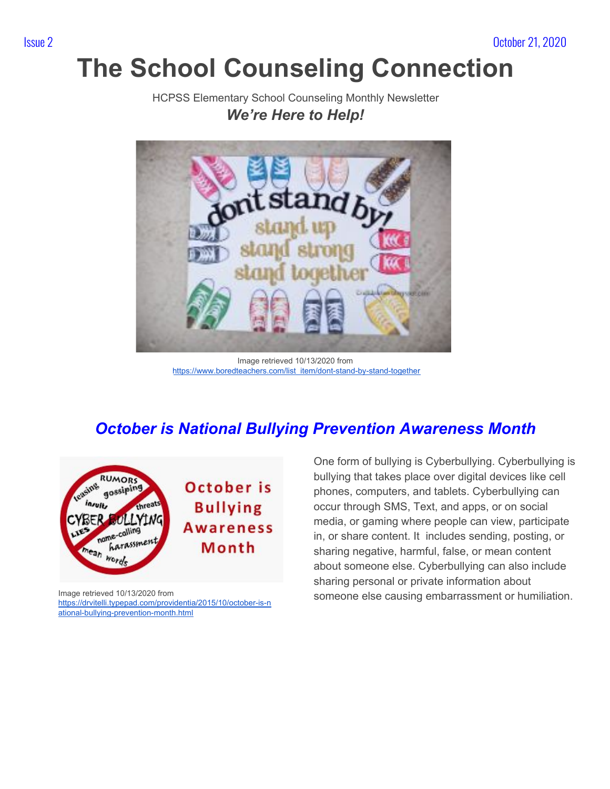# **The School Counseling Connection**

HCPSS Elementary School Counseling Monthly Newsletter *We're Here to Help!*



Image retrieved 10/13/2020 from [https://www.boredteachers.com/list\\_item/dont-stand-by-stand-together](https://www.boredteachers.com/list_item/dont-stand-by-stand-together)

## *October is National Bullying Prevention Awareness Month*



Image retrieved 10/13/2020 from [https://drvitelli.typepad.com/providentia/2015/10/october-is-n](https://drvitelli.typepad.com/providentia/2015/10/october-is-national-bullying-prevention-month.html) [ational-bullying-prevention-month.html](https://drvitelli.typepad.com/providentia/2015/10/october-is-national-bullying-prevention-month.html)

One form of bullying is Cyberbullying. Cyberbullying is bullying that takes place over digital devices like cell phones, computers, and tablets. Cyberbullying can occur through SMS, Text, and apps, or on social media, or gaming where people can view, participate in, or share content. It includes sending, posting, or sharing negative, harmful, false, or mean content about someone else. Cyberbullying can also include sharing personal or private information about someone else causing embarrassment or humiliation.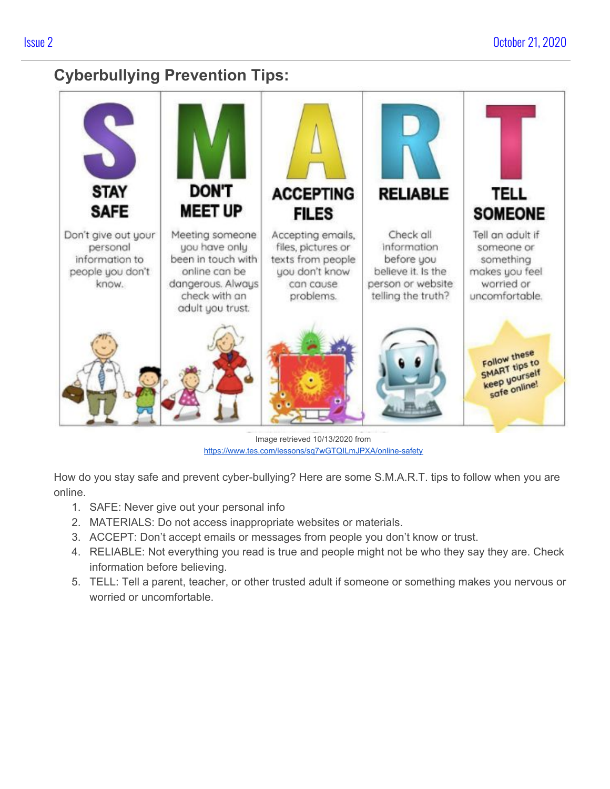### **Cyberbullying Prevention Tips:**



Image retrieved 10/13/2020 from <https://www.tes.com/lessons/sq7wGTQILmJPXA/online-safety>

How do you stay safe and prevent cyber-bullying? Here are some S.M.A.R.T. tips to follow when you are online.

- 1. SAFE: Never give out your personal info
- 2. MATERIALS: Do not access inappropriate websites or materials.
- 3. ACCEPT: Don't accept emails or messages from people you don't know or trust.
- 4. RELIABLE: Not everything you read is true and people might not be who they say they are. Check information before believing.
- 5. TELL: Tell a parent, teacher, or other trusted adult if someone or something makes you nervous or worried or uncomfortable.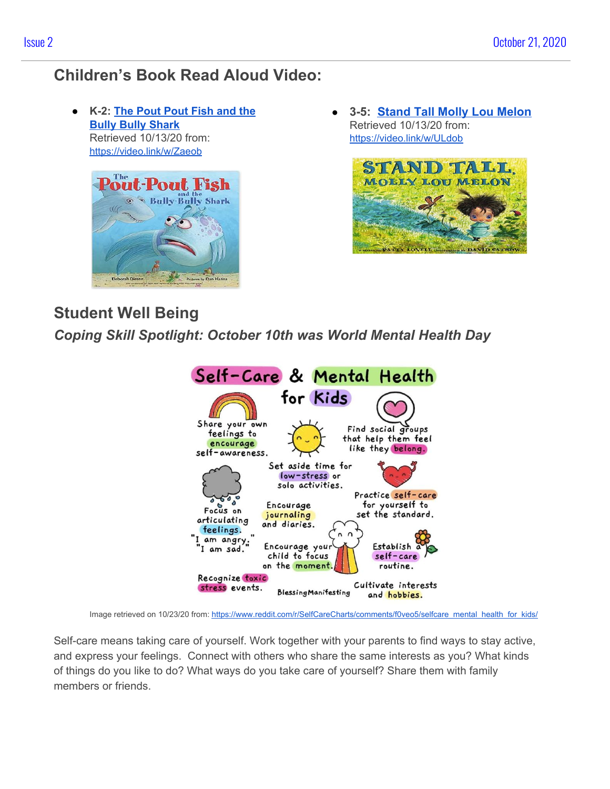## **Children's Book Read Aloud Video:**

● **K-2: The [Pout](https://video.link/w/Zaeob) Pout Fish and the Bully Bully [Shark](https://video.link/w/Zaeob)** Retrieved 10/13/20 from: <https://video.link/w/Zaeob>



● **3-5: [Stand Tall Molly Lou Melon](https://video.link/w/ULdob)** Retrieved 10/13/20 from: <https://video.link/w/ULdob>



### **Student Well Being**

*Coping Skill Spotlight: October 10th was World Mental Health Day*



Image retrieved on 10/23/20 from: [https://www.reddit.com/r/SelfCareCharts/comments/f0veo5/selfcare\\_mental\\_health\\_for\\_kids/](https://www.reddit.com/r/SelfCareCharts/comments/f0veo5/selfcare_mental_health_for_kids/)

Self-care means taking care of yourself. Work together with your parents to find ways to stay active, and express your feelings. Connect with others who share the same interests as you? What kinds of things do you like to do? What ways do you take care of yourself? Share them with family members or friends.